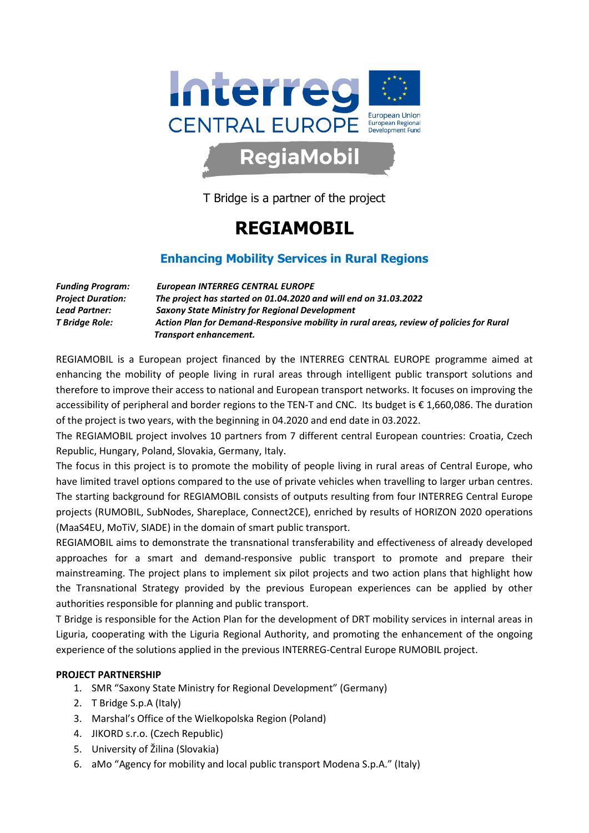

## T Bridge is a partner of the project

## REGIAMOBIL

## Enhancing Mobility Services in Rural Regions

Funding Program: European INTERREG CENTRAL EUROPE Project Duration: The project has started on 01.04.2020 and will end on 31.03.2022 Lead Partner: Saxony State Ministry for Regional Development T Bridge Role: Action Plan for Demand-Responsive mobility in rural areas, review of policies for Rural Transport enhancement.

REGIAMOBIL is a European project financed by the INTERREG CENTRAL EUROPE programme aimed at enhancing the mobility of people living in rural areas through intelligent public transport solutions and therefore to improve their access to national and European transport networks. It focuses on improving the accessibility of peripheral and border regions to the TEN-T and CNC. Its budget is € 1,660,086. The duration of the project is two years, with the beginning in 04.2020 and end date in 03.2022.

The REGIAMOBIL project involves 10 partners from 7 different central European countries: Croatia, Czech Republic, Hungary, Poland, Slovakia, Germany, Italy.

The focus in this project is to promote the mobility of people living in rural areas of Central Europe, who have limited travel options compared to the use of private vehicles when travelling to larger urban centres. The starting background for REGIAMOBIL consists of outputs resulting from four INTERREG Central Europe projects (RUMOBIL, SubNodes, Shareplace, Connect2CE), enriched by results of HORIZON 2020 operations (MaaS4EU, MoTiV, SIADE) in the domain of smart public transport.

REGIAMOBIL aims to demonstrate the transnational transferability and effectiveness of already developed approaches for a smart and demand-responsive public transport to promote and prepare their mainstreaming. The project plans to implement six pilot projects and two action plans that highlight how the Transnational Strategy provided by the previous European experiences can be applied by other authorities responsible for planning and public transport.

T Bridge is responsible for the Action Plan for the development of DRT mobility services in internal areas in Liguria, cooperating with the Liguria Regional Authority, and promoting the enhancement of the ongoing experience of the solutions applied in the previous INTERREG-Central Europe RUMOBIL project.

## PROJECT PARTNERSHIP

- 1. SMR "Saxony State Ministry for Regional Development" (Germany)
- 2. T Bridge S.p.A (Italy)
- 3. Marshal's Office of the Wielkopolska Region (Poland)
- 4. JIKORD s.r.o. (Czech Republic)
- 5. University of Žilina (Slovakia)
- 6. aMo "Agency for mobility and local public transport Modena S.p.A." (Italy)